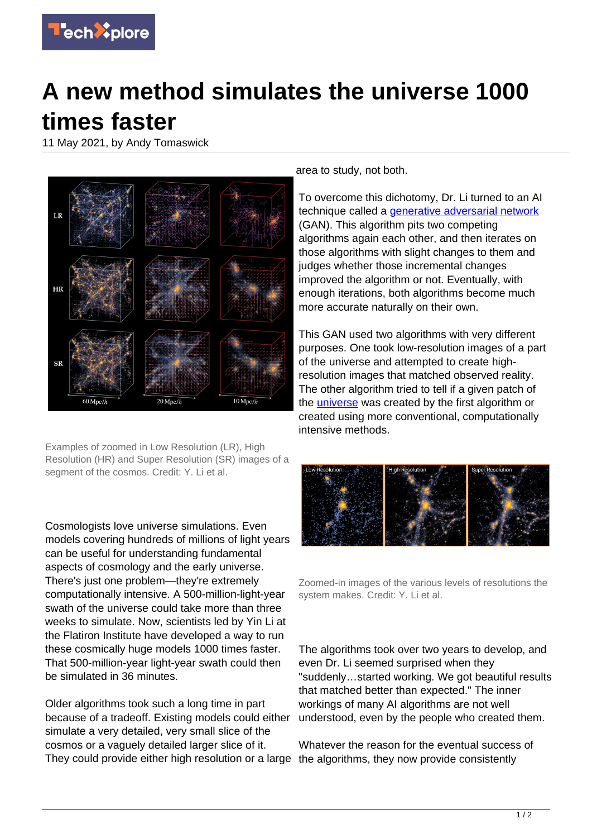

## **A new method simulates the universe 1000 times faster**

11 May 2021, by Andy Tomaswick



Examples of zoomed in Low Resolution (LR), High Resolution (HR) and Super Resolution (SR) images of a segment of the cosmos. Credit: Y. Li et al.

Cosmologists love universe simulations. Even models covering hundreds of millions of light years can be useful for understanding fundamental aspects of cosmology and the early universe. There's just one problem—they're extremely computationally intensive. A 500-million-light-year swath of the universe could take more than three weeks to simulate. Now, scientists led by Yin Li at the Flatiron Institute have developed a way to run these cosmically huge models 1000 times faster. That 500-million-year light-year swath could then be simulated in 36 minutes.

Older algorithms took such a long time in part because of a tradeoff. Existing models could either simulate a very detailed, very small slice of the cosmos or a vaguely detailed larger slice of it. They could provide either high resolution or a large the algorithms, they now provide consistently

area to study, not both.

To overcome this dichotomy, Dr. Li turned to an AI technique called a *generative adversarial network* (GAN). This algorithm pits two competing algorithms again each other, and then iterates on those algorithms with slight changes to them and judges whether those incremental changes improved the algorithm or not. Eventually, with enough iterations, both algorithms become much more accurate naturally on their own.

This GAN used two algorithms with very different purposes. One took low-resolution images of a part of the universe and attempted to create highresolution images that matched observed reality. The other algorithm tried to tell if a given patch of the *[universe](https://techxplore.com/tags/universe/)* was created by the first algorithm or created using more conventional, computationally intensive methods.

![](_page_0_Picture_10.jpeg)

Zoomed-in images of the various levels of resolutions the system makes. Credit: Y. Li et al.

The algorithms took over two years to develop, and even Dr. Li seemed surprised when they "suddenly…started working. We got beautiful results that matched better than expected." The inner workings of many AI algorithms are not well understood, even by the people who created them.

Whatever the reason for the eventual success of